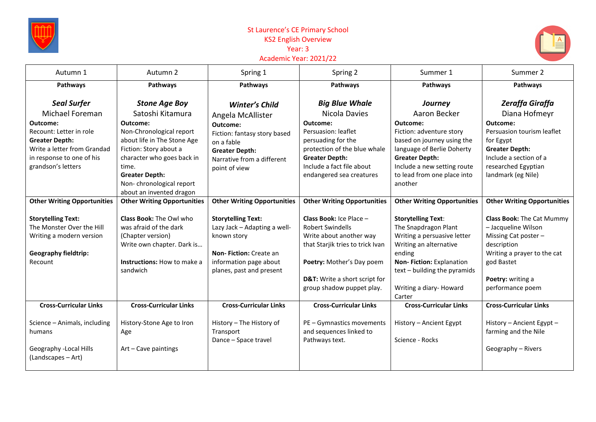

## St Laurence's CE Primary School KS2 English Overview Year: 3 Academic Year: 2021/22



| Autumn 1                                                                                                                                                                                | Autumn 2                                                                                                                                                                                                                              | Spring 1                                                                                                                                                              | Spring 2                                                                                                                                                                                                            | Summer 1                                                                                                                                                                                                                      | Summer 2                                                                                                                                                                                |
|-----------------------------------------------------------------------------------------------------------------------------------------------------------------------------------------|---------------------------------------------------------------------------------------------------------------------------------------------------------------------------------------------------------------------------------------|-----------------------------------------------------------------------------------------------------------------------------------------------------------------------|---------------------------------------------------------------------------------------------------------------------------------------------------------------------------------------------------------------------|-------------------------------------------------------------------------------------------------------------------------------------------------------------------------------------------------------------------------------|-----------------------------------------------------------------------------------------------------------------------------------------------------------------------------------------|
| Pathways                                                                                                                                                                                | Pathways                                                                                                                                                                                                                              | Pathways                                                                                                                                                              | Pathways                                                                                                                                                                                                            | Pathways                                                                                                                                                                                                                      | Pathways                                                                                                                                                                                |
| <b>Seal Surfer</b><br>Michael Foreman<br>Outcome:<br>Recount: Letter in role<br><b>Greater Depth:</b><br>Write a letter from Grandad<br>in response to one of his<br>grandson's letters | <b>Stone Age Boy</b><br>Satoshi Kitamura<br>Outcome:<br>Non-Chronological report<br>about life in The Stone Age<br>Fiction: Story about a<br>character who goes back in<br>time.<br><b>Greater Depth:</b><br>Non-chronological report | Winter's Child<br>Angela McAllister<br>Outcome:<br>Fiction: fantasy story based<br>on a fable<br><b>Greater Depth:</b><br>Narrative from a different<br>point of view | <b>Big Blue Whale</b><br>Nicola Davies<br>Outcome:<br>Persuasion: leaflet<br>persuading for the<br>protection of the blue whale<br><b>Greater Depth:</b><br>Include a fact file about<br>endangered sea creatures   | Journey<br>Aaron Becker<br>Outcome:<br>Fiction: adventure story<br>based on journey using the<br>language of Berlie Doherty<br><b>Greater Depth:</b><br>Include a new setting route<br>to lead from one place into<br>another | Zeraffa Giraffa<br>Diana Hofmeyr<br>Outcome:<br>Persuasion tourism leaflet<br>for Egypt<br><b>Greater Depth:</b><br>Include a section of a<br>researched Egyptian<br>landmark (eg Nile) |
| <b>Other Writing Opportunities</b>                                                                                                                                                      | about an invented dragon<br><b>Other Writing Opportunities</b>                                                                                                                                                                        | <b>Other Writing Opportunities</b>                                                                                                                                    | <b>Other Writing Opportunities</b>                                                                                                                                                                                  | <b>Other Writing Opportunities</b>                                                                                                                                                                                            | <b>Other Writing Opportunities</b>                                                                                                                                                      |
| <b>Storytelling Text:</b><br>The Monster Over the Hill<br>Writing a modern version<br><b>Geography fieldtrip:</b><br>Recount                                                            | Class Book: The Owl who<br>was afraid of the dark<br>(Chapter version)<br>Write own chapter. Dark is<br><b>Instructions:</b> How to make a<br>sandwich                                                                                | <b>Storytelling Text:</b><br>Lazy Jack - Adapting a well-<br>known story<br><b>Non-Fiction: Create an</b><br>information page about<br>planes, past and present       | <b>Class Book: Ice Place -</b><br><b>Robert Swindells</b><br>Write about another way<br>that Starjik tries to trick Ivan<br>Poetry: Mother's Day poem<br>D&T: Write a short script for<br>group shadow puppet play. | <b>Storytelling Text:</b><br>The Snapdragon Plant<br>Writing a persuasive letter<br>Writing an alternative<br>ending<br>Non-Fiction: Explanation<br>text – building the pyramids<br>Writing a diary-Howard<br>Carter          | <b>Class Book: The Cat Mummy</b><br>- Jacqueline Wilson<br>Missing Cat poster -<br>description<br>Writing a prayer to the cat<br>god Bastet<br>Poetry: writing a<br>performance poem    |
| <b>Cross-Curricular Links</b><br>Science - Animals, including<br>humans<br>Geography - Local Hills<br>(Landscapes – Art)                                                                | <b>Cross-Curricular Links</b><br>History-Stone Age to Iron<br>Age<br>Art - Cave paintings                                                                                                                                             | <b>Cross-Curricular Links</b><br>History - The History of<br>Transport<br>Dance - Space travel                                                                        | <b>Cross-Curricular Links</b><br>PE - Gymnastics movements<br>and sequences linked to<br>Pathways text.                                                                                                             | <b>Cross-Curricular Links</b><br>History - Ancient Egypt<br>Science - Rocks                                                                                                                                                   | <b>Cross-Curricular Links</b><br>History - Ancient Egypt -<br>farming and the Nile<br>Geography - Rivers                                                                                |